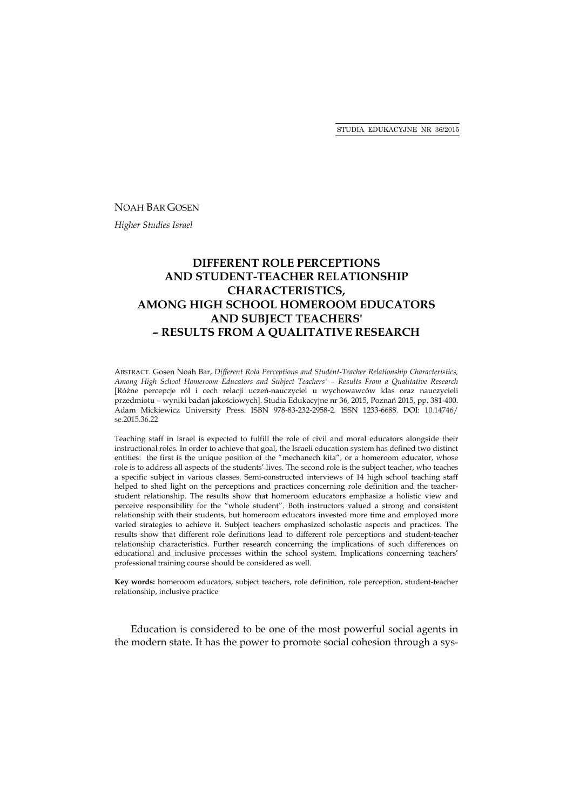### NOAH BAR GOSEN

*Higher Studies Israel* 

# **DIFFERENT ROLE PERCEPTIONS AND STUDENT-TEACHER RELATIONSHIP CHARACTERISTICS, AMONG HIGH SCHOOL HOMEROOM EDUCATORS AND SUBJECT TEACHERS'**  *–* **RESULTS FROM A QUALITATIVE RESEARCH**

ABSTRACT. Gosen Noah Bar, *Different Rola Perceptions and Student-Teacher Relationship Characteristics, Among High School Homeroom Educators and Subject Teachers' – Results From a Qualitative Research* [Różne percepcje ról i cech relacji uczeń-nauczyciel u wychowawców klas oraz nauczycieli przedmiotu – wyniki badań jakościowych]. Studia Edukacyjne nr 36, 2015, Poznań 2015, pp. 381-400. Adam Mickiewicz University Press. ISBN 978-83-232-2958-2. ISSN 1233-6688. DOI: 10.14746/ se.2015.36.22

Teaching staff in Israel is expected to fulfill the role of civil and moral educators alongside their instructional roles. In order to achieve that goal, the Israeli education system has defined two distinct entities: the first is the unique position of the "mechanech kita", or a homeroom educator, whose role is to address all aspects of the students' lives. The second role is the subject teacher, who teaches a specific subject in various classes. Semi-constructed interviews of 14 high school teaching staff helped to shed light on the perceptions and practices concerning role definition and the teacherstudent relationship. The results show that homeroom educators emphasize a holistic view and perceive responsibility for the "whole student". Both instructors valued a strong and consistent relationship with their students, but homeroom educators invested more time and employed more varied strategies to achieve it. Subject teachers emphasized scholastic aspects and practices. The results show that different role definitions lead to different role perceptions and student-teacher relationship characteristics. Further research concerning the implications of such differences on educational and inclusive processes within the school system. Implications concerning teachers' professional training course should be considered as well.

**Key words:** homeroom educators, subject teachers, role definition, role perception, student-teacher relationship, inclusive practice

Education is considered to be one of the most powerful social agents in the modern state. It has the power to promote social cohesion through a sys-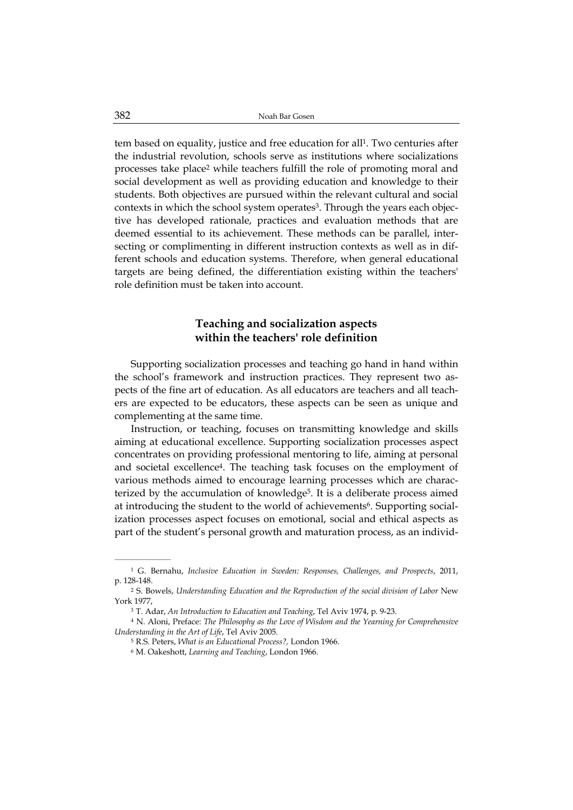tem based on equality, justice and free education for all1. Two centuries after the industrial revolution, schools serve as institutions where socializations processes take place2 while teachers fulfill the role of promoting moral and social development as well as providing education and knowledge to their students. Both objectives are pursued within the relevant cultural and social contexts in which the school system operates<sup>3</sup>. Through the years each objective has developed rationale, practices and evaluation methods that are deemed essential to its achievement. These methods can be parallel, intersecting or complimenting in different instruction contexts as well as in different schools and education systems. Therefore, when general educational targets are being defined, the differentiation existing within the teachers' role definition must be taken into account.

# **Teaching and socialization aspects within the teachers' role definition**

Supporting socialization processes and teaching go hand in hand within the school's framework and instruction practices. They represent two aspects of the fine art of education. As all educators are teachers and all teachers are expected to be educators, these aspects can be seen as unique and complementing at the same time.

Instruction, or teaching, focuses on transmitting knowledge and skills aiming at educational excellence. Supporting socialization processes aspect concentrates on providing professional mentoring to life, aiming at personal and societal excellence4. The teaching task focuses on the employment of various methods aimed to encourage learning processes which are characterized by the accumulation of knowledge5. It is a deliberate process aimed at introducing the student to the world of achievements<sup>6</sup>. Supporting socialization processes aspect focuses on emotional, social and ethical aspects as part of the student's personal growth and maturation process, as an individ-

<sup>1</sup> G. Bernahu, *Inclusive Education in Sweden: Responses, Challenges, and Prospects*, 2011, p. 128-148.

<sup>&</sup>lt;sup>2</sup> S. Bowels, *Understanding Education and the Reproduction of the social division of Labor New* York 1977,

<sup>3</sup> T. Adar, *An Introduction to Education and Teaching*, Tel Aviv 1974, p. 9-23.

<sup>4</sup> N. Aloni, Preface: *The Philosophy as the Love of Wisdom and the Yearning for Comprehensive Understanding in the Art of Life*, Tel Aviv 2005.

<sup>5</sup> R.S. Peters, *What is an Educational Process?,* London 1966.

<sup>6</sup> M. Oakeshott, *Learning and Teaching*, London 1966.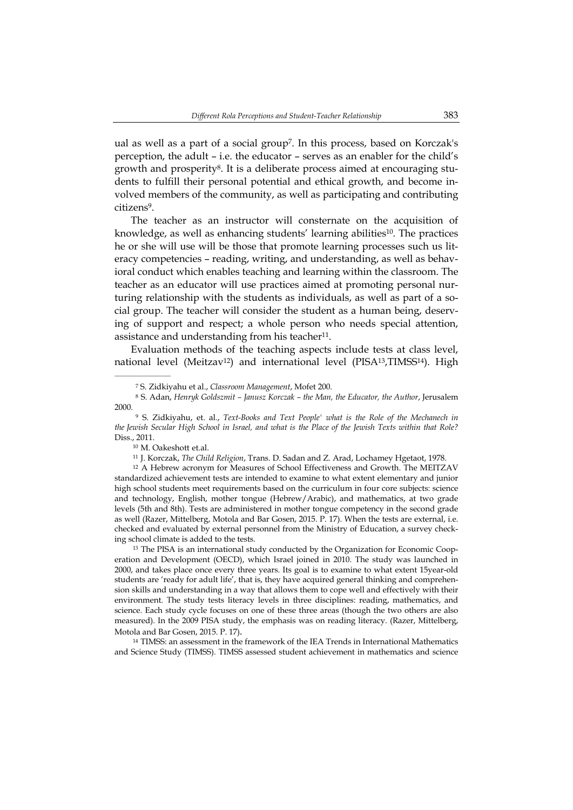ual as well as a part of a social group7. In this process, based on Korczak's perception, the adult – i.e. the educator – serves as an enabler for the child's growth and prosperity8. It is a deliberate process aimed at encouraging students to fulfill their personal potential and ethical growth, and become involved members of the community, as well as participating and contributing citizens9.

The teacher as an instructor will consternate on the acquisition of knowledge, as well as enhancing students' learning abilities<sup>10</sup>. The practices he or she will use will be those that promote learning processes such us literacy competencies – reading, writing, and understanding, as well as behavioral conduct which enables teaching and learning within the classroom. The teacher as an educator will use practices aimed at promoting personal nurturing relationship with the students as individuals, as well as part of a social group. The teacher will consider the student as a human being, deserving of support and respect; a whole person who needs special attention, assistance and understanding from his teacher<sup>11</sup>.

Evaluation methods of the teaching aspects include tests at class level, national level (Meitzav<sup>12</sup>) and international level (PISA<sup>13</sup>,TIMSS<sup>14</sup>). High

<sup>10</sup> M. Oakeshott et.al.

\_\_\_\_\_\_\_\_\_\_\_\_\_\_\_\_\_\_

<sup>11</sup> J. Korczak, *The Child Religion*, Trans. D. Sadan and Z. Arad, Lochamey Hgetaot, 1978.

<sup>12</sup> A Hebrew acronym for Measures of School Effectiveness and Growth. The MEITZAV standardized achievement tests are intended to examine to what extent elementary and junior high school students meet requirements based on the curriculum in four core subjects: science and technology, English, mother tongue (Hebrew/Arabic), and mathematics, at two grade levels (5th and 8th). Tests are administered in mother tongue competency in the second grade as well (Razer, Mittelberg, Motola and Bar Gosen, 2015. P. 17). When the tests are external, i.e. checked and evaluated by external personnel from the Ministry of Education, a survey checking school climate is added to the tests.

<sup>13</sup> The PISA is an international study conducted by the Organization for Economic Cooperation and Development (OECD), which Israel joined in 2010. The study was launched in 2000, and takes place once every three years. Its goal is to examine to what extent 15year-old students are 'ready for adult life', that is, they have acquired general thinking and comprehension skills and understanding in a way that allows them to cope well and effectively with their environment. The study tests literacy levels in three disciplines: reading, mathematics, and science. Each study cycle focuses on one of these three areas (though the two others are also measured). In the 2009 PISA study, the emphasis was on reading literacy. (Razer, Mittelberg, Motola and Bar Gosen, 2015. P. 17).

<sup>14</sup> TIMSS: an assessment in the framework of the IEA Trends in International Mathematics and Science Study (TIMSS). TIMSS assessed student achievement in mathematics and science

<sup>7</sup> S. Zidkiyahu et al., *Classroom Management*, Mofet 200.

<sup>8</sup> S. Adan, *Henryk Goldszmit – Janusz Korczak – the Man, the Educator, the Author*, Jerusalem 2000.

<sup>9</sup> S. Zidkiyahu, et. al., *Text-Books and Text People' what is the Role of the Mechanech in the Jewish Secular High School in Israel, and what is the Place of the Jewish Texts within that Role?*  Diss., 2011.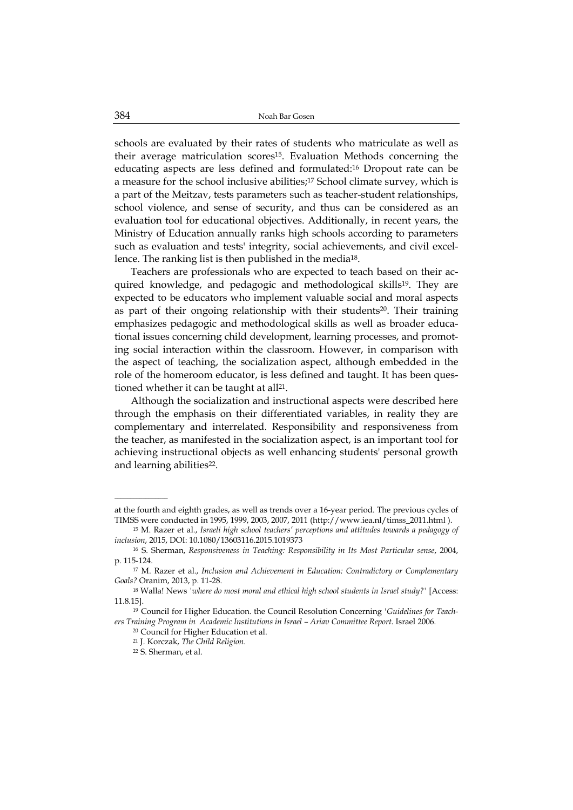schools are evaluated by their rates of students who matriculate as well as their average matriculation scores15. Evaluation Methods concerning the educating aspects are less defined and formulated:16 Dropout rate can be a measure for the school inclusive abilities;17 School climate survey, which is a part of the Meitzav, tests parameters such as teacher-student relationships, school violence, and sense of security, and thus can be considered as an evaluation tool for educational objectives. Additionally, in recent years, the Ministry of Education annually ranks high schools according to parameters such as evaluation and tests' integrity, social achievements, and civil excellence. The ranking list is then published in the media18.

Teachers are professionals who are expected to teach based on their acquired knowledge, and pedagogic and methodological skills19. They are expected to be educators who implement valuable social and moral aspects as part of their ongoing relationship with their students<sup>20</sup>. Their training emphasizes pedagogic and methodological skills as well as broader educational issues concerning child development, learning processes, and promoting social interaction within the classroom. However, in comparison with the aspect of teaching, the socialization aspect, although embedded in the role of the homeroom educator, is less defined and taught. It has been questioned whether it can be taught at all<sup>21</sup>.

Although the socialization and instructional aspects were described here through the emphasis on their differentiated variables, in reality they are complementary and interrelated. Responsibility and responsiveness from the teacher, as manifested in the socialization aspect, is an important tool for achieving instructional objects as well enhancing students' personal growth and learning abilities<sup>22</sup>.

at the fourth and eighth grades, as well as trends over a 16-year period. The previous cycles of TIMSS were conducted in 1995, 1999, 2003, 2007, 2011 (http://www.iea.nl/timss\_2011.html ).

<sup>15</sup> M. Razer et al., *Israeli high school teachers' perceptions and attitudes towards a pedagogy of inclusion*, 2015, DOI: 10.1080/13603116.2015.1019373

<sup>16</sup> S. Sherman, *Responsiveness in Teaching: Responsibility in Its Most Particular sense*, 2004, p. 115-124.

<sup>17</sup> M. Razer et al., *Inclusion and Achievement in Education: Contradictory or Complementary Goals?* Oranim, 2013, p. 11-28.

<sup>&</sup>lt;sup>18</sup> Walla! News *'where do most moral and ethical high school students in Israel study?'* [Access: 11.8.15].

<sup>19</sup> Council for Higher Education. the Council Resolution Concerning *'Guidelines for Teachers Training Program in Academic Institutions in Israel – Ariav Committee Report.* Israel 2006.

<sup>20</sup> Council for Higher Education et al.

<sup>21</sup> J. Korczak, *The Child Religion*.

<sup>22</sup> S. Sherman, et al.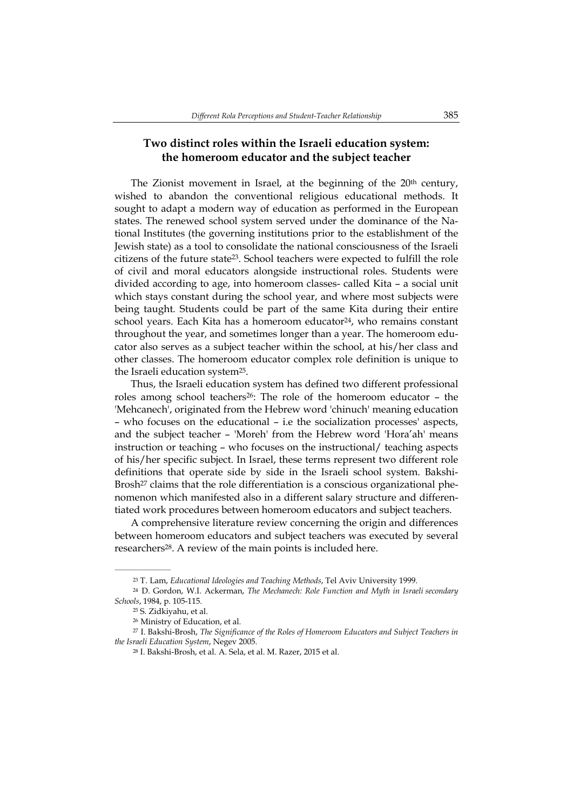# **Two distinct roles within the Israeli education system: the homeroom educator and the subject teacher**

The Zionist movement in Israel, at the beginning of the 20<sup>th</sup> century, wished to abandon the conventional religious educational methods. It sought to adapt a modern way of education as performed in the European states. The renewed school system served under the dominance of the National Institutes (the governing institutions prior to the establishment of the Jewish state) as a tool to consolidate the national consciousness of the Israeli citizens of the future state23. School teachers were expected to fulfill the role of civil and moral educators alongside instructional roles. Students were divided according to age, into homeroom classes- called Kita – a social unit which stays constant during the school year, and where most subjects were being taught. Students could be part of the same Kita during their entire school years. Each Kita has a homeroom educator<sup>24</sup>, who remains constant throughout the year, and sometimes longer than a year. The homeroom educator also serves as a subject teacher within the school, at his/her class and other classes. The homeroom educator complex role definition is unique to the Israeli education system25.

Thus, the Israeli education system has defined two different professional roles among school teachers<sup>26</sup>: The role of the homeroom educator – the 'Mehcanech', originated from the Hebrew word 'chinuch' meaning education – who focuses on the educational – i.e the socialization processes' aspects, and the subject teacher – 'Moreh' from the Hebrew word 'Hora'ah' means instruction or teaching – who focuses on the instructional/ teaching aspects of his/her specific subject. In Israel, these terms represent two different role definitions that operate side by side in the Israeli school system. Bakshi-Brosh<sup>27</sup> claims that the role differentiation is a conscious organizational phenomenon which manifested also in a different salary structure and differentiated work procedures between homeroom educators and subject teachers.

A comprehensive literature review concerning the origin and differences between homeroom educators and subject teachers was executed by several researchers28. A review of the main points is included here.

<sup>23</sup> T. Lam, *Educational Ideologies and Teaching Methods*, Tel Aviv University 1999.

<sup>24</sup> D. Gordon, W.I. Ackerman, *The Mechanech: Role Function and Myth in Israeli secondary Schools*, 1984, p. 105-115.

<sup>25</sup> S. Zidkiyahu, et al.

<sup>26</sup> Ministry of Education, et al.

<sup>27</sup> I. Bakshi-Brosh, *The Significance of the Roles of Homeroom Educators and Subject Teachers in the Israeli Education System*, Negev 2005.

<sup>28</sup> I. Bakshi-Brosh, et al. A. Sela, et al. M. Razer, 2015 et al.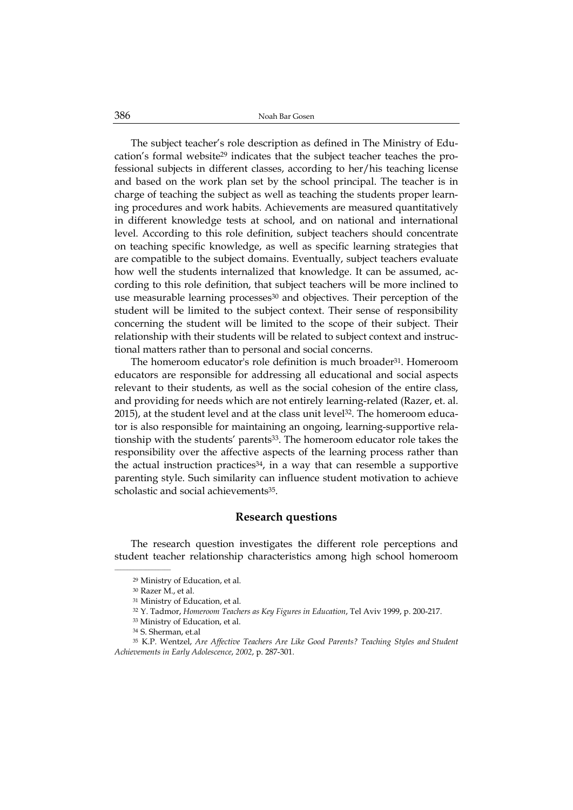The subject teacher's role description as defined in The Ministry of Education's formal website29 indicates that the subject teacher teaches the professional subjects in different classes, according to her/his teaching license and based on the work plan set by the school principal. The teacher is in charge of teaching the subject as well as teaching the students proper learning procedures and work habits. Achievements are measured quantitatively in different knowledge tests at school, and on national and international level. According to this role definition, subject teachers should concentrate on teaching specific knowledge, as well as specific learning strategies that are compatible to the subject domains. Eventually, subject teachers evaluate how well the students internalized that knowledge. It can be assumed, according to this role definition, that subject teachers will be more inclined to use measurable learning processes<sup>30</sup> and objectives. Their perception of the student will be limited to the subject context. Their sense of responsibility concerning the student will be limited to the scope of their subject. Their relationship with their students will be related to subject context and instructional matters rather than to personal and social concerns.

The homeroom educator's role definition is much broader<sup>31</sup>. Homeroom educators are responsible for addressing all educational and social aspects relevant to their students, as well as the social cohesion of the entire class, and providing for needs which are not entirely learning-related (Razer, et. al.  $2015$ ), at the student level and at the class unit level<sup>32</sup>. The homeroom educator is also responsible for maintaining an ongoing, learning-supportive relationship with the students' parents33. The homeroom educator role takes the responsibility over the affective aspects of the learning process rather than the actual instruction practices<sup>34</sup>, in a way that can resemble a supportive parenting style. Such similarity can influence student motivation to achieve scholastic and social achievements<sup>35</sup>.

## **Research questions**

The research question investigates the different role perceptions and student teacher relationship characteristics among high school homeroom

<sup>29</sup> Ministry of Education, et al.

<sup>30</sup> Razer M., et al.

<sup>31</sup> Ministry of Education, et al.

<sup>32</sup> Y. Tadmor, *Homeroom Teachers as Key Figures in Education*, Tel Aviv 1999, p. 200-217.

<sup>33</sup> Ministry of Education, et al.

<sup>34</sup> S. Sherman, et.al

<sup>35</sup> K.P. Wentzel, *Are Affective Teachers Are Like Good Parents? Teaching Styles and Student Achievements in Early Adolescence*, *2002*, p. 287-301.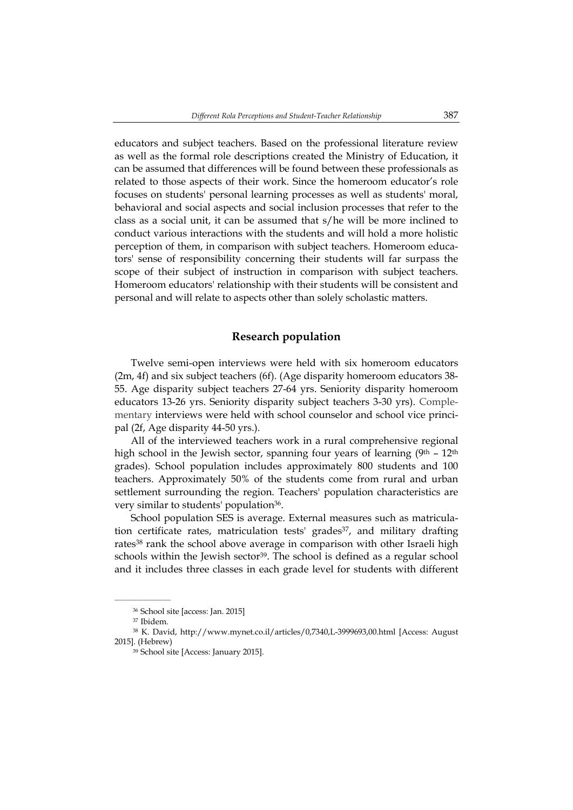educators and subject teachers. Based on the professional literature review as well as the formal role descriptions created the Ministry of Education, it can be assumed that differences will be found between these professionals as related to those aspects of their work. Since the homeroom educator's role focuses on students' personal learning processes as well as students' moral, behavioral and social aspects and social inclusion processes that refer to the class as a social unit, it can be assumed that s/he will be more inclined to conduct various interactions with the students and will hold a more holistic perception of them, in comparison with subject teachers. Homeroom educators' sense of responsibility concerning their students will far surpass the scope of their subject of instruction in comparison with subject teachers. Homeroom educators' relationship with their students will be consistent and personal and will relate to aspects other than solely scholastic matters.

### **Research population**

Twelve semi-open interviews were held with six homeroom educators (2m, 4f) and six subject teachers (6f). (Age disparity homeroom educators 38- 55. Age disparity subject teachers 27-64 yrs. Seniority disparity homeroom educators 13-26 yrs. Seniority disparity subject teachers 3-30 yrs). Complementary interviews were held with school counselor and school vice principal (2f, Age disparity 44-50 yrs.).

All of the interviewed teachers work in a rural comprehensive regional high school in the Jewish sector, spanning four years of learning  $(9<sup>th</sup> - 12<sup>th</sup>)$ grades). School population includes approximately 800 students and 100 teachers. Approximately 50% of the students come from rural and urban settlement surrounding the region. Teachers' population characteristics are very similar to students' population<sup>36</sup>.

School population SES is average. External measures such as matriculation certificate rates, matriculation tests' grades<sup>37</sup>, and military drafting rates<sup>38</sup> rank the school above average in comparison with other Israeli high schools within the Jewish sector<sup>39</sup>. The school is defined as a regular school and it includes three classes in each grade level for students with different

<sup>36</sup> School site [access: Jan. 2015]

<sup>37</sup> Ibidem.

<sup>38</sup> K. David, http://www.mynet.co.il/articles/0,7340,L-3999693,00.html [Access: August 2015]. (Hebrew)

<sup>39</sup> School site [Access: January 2015].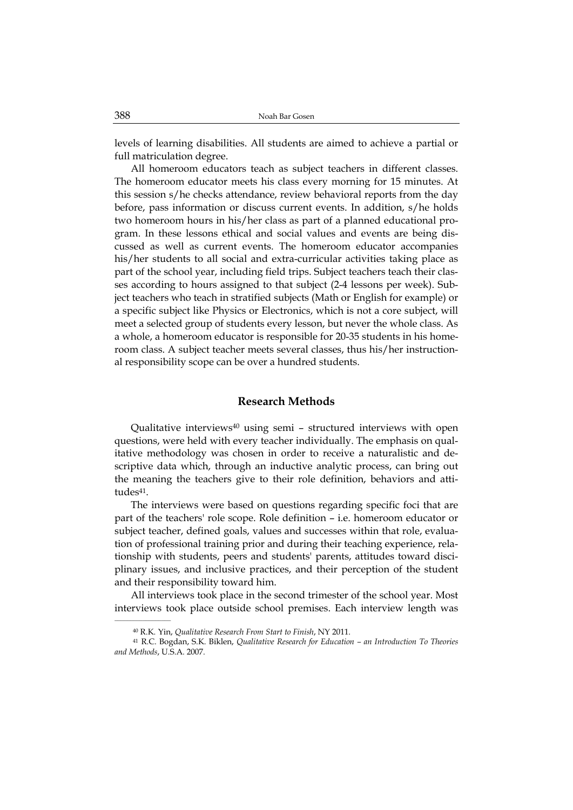levels of learning disabilities. All students are aimed to achieve a partial or full matriculation degree.

All homeroom educators teach as subject teachers in different classes. The homeroom educator meets his class every morning for 15 minutes. At this session s/he checks attendance, review behavioral reports from the day before, pass information or discuss current events. In addition, s/he holds two homeroom hours in his/her class as part of a planned educational program. In these lessons ethical and social values and events are being discussed as well as current events. The homeroom educator accompanies his/her students to all social and extra-curricular activities taking place as part of the school year, including field trips. Subject teachers teach their classes according to hours assigned to that subject (2-4 lessons per week). Subject teachers who teach in stratified subjects (Math or English for example) or a specific subject like Physics or Electronics, which is not a core subject, will meet a selected group of students every lesson, but never the whole class. As a whole, a homeroom educator is responsible for 20-35 students in his homeroom class. A subject teacher meets several classes, thus his/her instructional responsibility scope can be over a hundred students.

## **Research Methods**

Qualitative interviews<sup>40</sup> using semi - structured interviews with open questions, were held with every teacher individually. The emphasis on qualitative methodology was chosen in order to receive a naturalistic and descriptive data which, through an inductive analytic process, can bring out the meaning the teachers give to their role definition, behaviors and attitudes<sup>41</sup>.

The interviews were based on questions regarding specific foci that are part of the teachers' role scope. Role definition – i.e. homeroom educator or subject teacher, defined goals, values and successes within that role, evaluation of professional training prior and during their teaching experience, relationship with students, peers and students' parents, attitudes toward disciplinary issues, and inclusive practices, and their perception of the student and their responsibility toward him.

All interviews took place in the second trimester of the school year. Most interviews took place outside school premises. Each interview length was

<sup>40</sup> R.K. Yin, *Qualitative Research From Start to Finish*, NY 2011.

<sup>41</sup> R.C. Bogdan, S.K. Biklen, *Qualitative Research for Education – an Introduction To Theories and Methods*, U.S.A. 2007.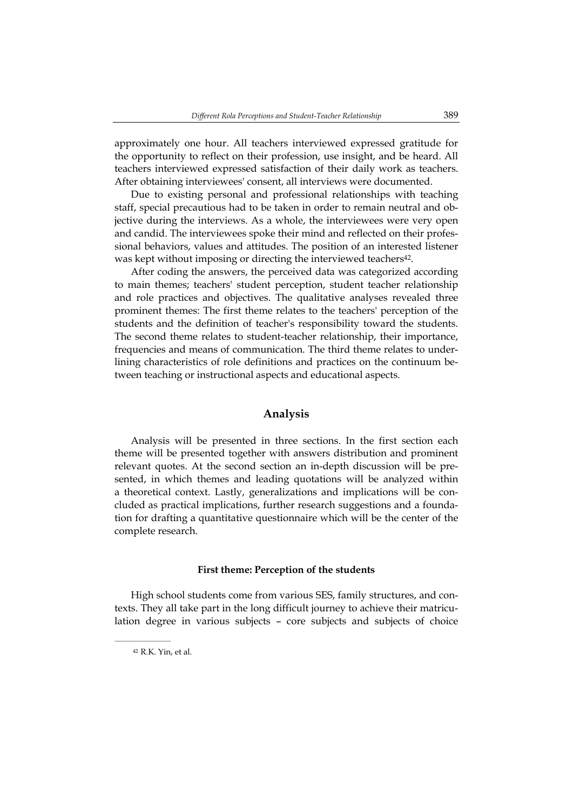approximately one hour. All teachers interviewed expressed gratitude for the opportunity to reflect on their profession, use insight, and be heard. All teachers interviewed expressed satisfaction of their daily work as teachers. After obtaining interviewees' consent, all interviews were documented.

Due to existing personal and professional relationships with teaching staff, special precautious had to be taken in order to remain neutral and objective during the interviews. As a whole, the interviewees were very open and candid. The interviewees spoke their mind and reflected on their professional behaviors, values and attitudes. The position of an interested listener was kept without imposing or directing the interviewed teachers<sup>42</sup>.

After coding the answers, the perceived data was categorized according to main themes; teachers' student perception, student teacher relationship and role practices and objectives. The qualitative analyses revealed three prominent themes: The first theme relates to the teachers' perception of the students and the definition of teacher's responsibility toward the students. The second theme relates to student-teacher relationship, their importance, frequencies and means of communication. The third theme relates to underlining characteristics of role definitions and practices on the continuum between teaching or instructional aspects and educational aspects.

### **Analysis**

Analysis will be presented in three sections. In the first section each theme will be presented together with answers distribution and prominent relevant quotes. At the second section an in-depth discussion will be presented, in which themes and leading quotations will be analyzed within a theoretical context. Lastly, generalizations and implications will be concluded as practical implications, further research suggestions and a foundation for drafting a quantitative questionnaire which will be the center of the complete research.

#### **First theme: Perception of the students**

High school students come from various SES, family structures, and contexts. They all take part in the long difficult journey to achieve their matriculation degree in various subjects – core subjects and subjects of choice

 $\overline{\phantom{a}}$  , where  $\overline{\phantom{a}}$ 

<sup>42</sup> R.K. Yin, et al.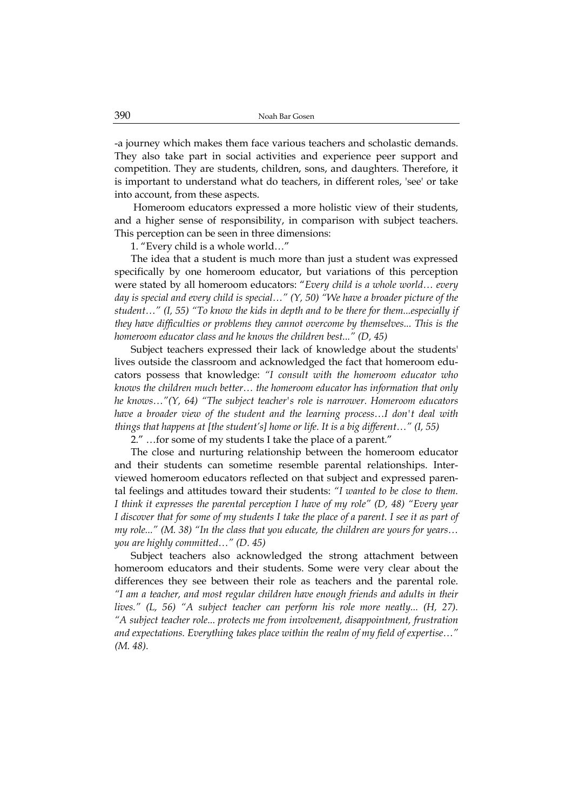-a journey which makes them face various teachers and scholastic demands. They also take part in social activities and experience peer support and competition. They are students, children, sons, and daughters. Therefore, it is important to understand what do teachers, in different roles, 'see' or take into account, from these aspects.

 Homeroom educators expressed a more holistic view of their students, and a higher sense of responsibility, in comparison with subject teachers. This perception can be seen in three dimensions:

1. "Every child is a whole world…"

The idea that a student is much more than just a student was expressed specifically by one homeroom educator, but variations of this perception were stated by all homeroom educators: "*Every child is a whole world… every day is special and every child is special…" (Y, 50) "We have a broader picture of the student…" (I, 55) "To know the kids in depth and to be there for them...especially if they have difficulties or problems they cannot overcome by themselves... This is the homeroom educator class and he knows the children best..." (D, 45)*

Subject teachers expressed their lack of knowledge about the students' lives outside the classroom and acknowledged the fact that homeroom educators possess that knowledge: *"I consult with the homeroom educator who knows the children much better… the homeroom educator has information that only he knows…"(Y, 64) "The subject teacher's role is narrower. Homeroom educators have a broader view of the student and the learning process…I don't deal with things that happens at [the student's] home or life. It is a big different…" (I, 55)* 

2." …for some of my students I take the place of a parent."

The close and nurturing relationship between the homeroom educator and their students can sometime resemble parental relationships. Interviewed homeroom educators reflected on that subject and expressed parental feelings and attitudes toward their students: *"I wanted to be close to them. I think it expresses the parental perception I have of my role" (D, 48) "Every year I discover that for some of my students I take the place of a parent. I see it as part of my role..." (M. 38) "In the class that you educate, the children are yours for years… you are highly committed…" (D. 45)* 

Subject teachers also acknowledged the strong attachment between homeroom educators and their students. Some were very clear about the differences they see between their role as teachers and the parental role. *"I am a teacher, and most regular children have enough friends and adults in their lives." (L, 56) "A subject teacher can perform his role more neatly... (H, 27). "A subject teacher role... protects me from involvement, disappointment, frustration and expectations. Everything takes place within the realm of my field of expertise…" (M. 48).*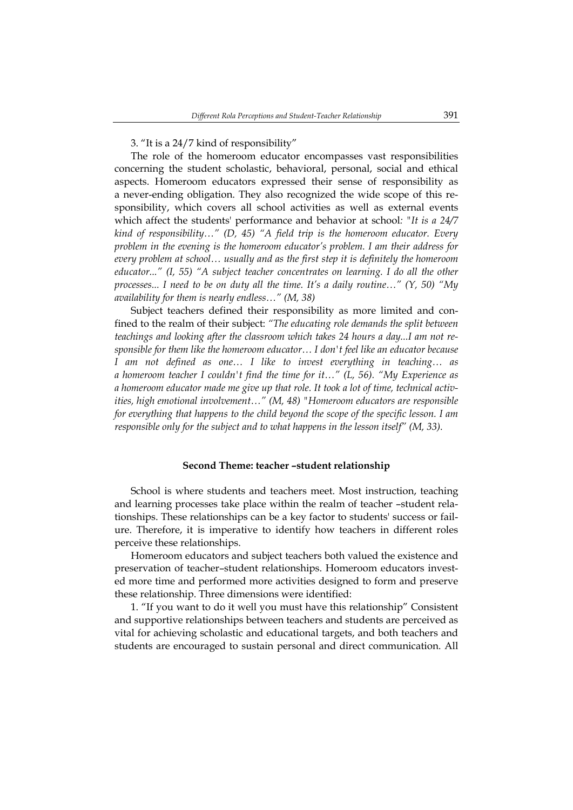3. "It is a 24/7 kind of responsibility"

The role of the homeroom educator encompasses vast responsibilities concerning the student scholastic, behavioral, personal, social and ethical aspects. Homeroom educators expressed their sense of responsibility as a never-ending obligation. They also recognized the wide scope of this responsibility, which covers all school activities as well as external events which affect the students' performance and behavior at school*: "It is a 24/7 kind of responsibility…" (D, 45) "A field trip is the homeroom educator. Every problem in the evening is the homeroom educator's problem. I am their address for every problem at school… usually and as the first step it is definitely the homeroom educator..." (I, 55) "A subject teacher concentrates on learning. I do all the other processes... I need to be on duty all the time. It's a daily routine…" (Y, 50) "My availability for them is nearly endless…" (M, 38)*

Subject teachers defined their responsibility as more limited and confined to the realm of their subject: *"The educating role demands the split between teachings and looking after the classroom which takes 24 hours a day...I am not responsible for them like the homeroom educator… I don't feel like an educator because I am not defined as one… I like to invest everything in teaching… as a homeroom teacher I couldn't find the time for it…" (L, 56). "My Experience as a homeroom educator made me give up that role. It took a lot of time, technical activities, high emotional involvement…" (M, 48) "Homeroom educators are responsible for everything that happens to the child beyond the scope of the specific lesson. I am responsible only for the subject and to what happens in the lesson itself" (M, 33).* 

#### **Second Theme: teacher –student relationship**

School is where students and teachers meet. Most instruction, teaching and learning processes take place within the realm of teacher –student relationships. These relationships can be a key factor to students' success or failure. Therefore, it is imperative to identify how teachers in different roles perceive these relationships.

Homeroom educators and subject teachers both valued the existence and preservation of teacher–student relationships. Homeroom educators invested more time and performed more activities designed to form and preserve these relationship. Three dimensions were identified:

1. "If you want to do it well you must have this relationship" Consistent and supportive relationships between teachers and students are perceived as vital for achieving scholastic and educational targets, and both teachers and students are encouraged to sustain personal and direct communication. All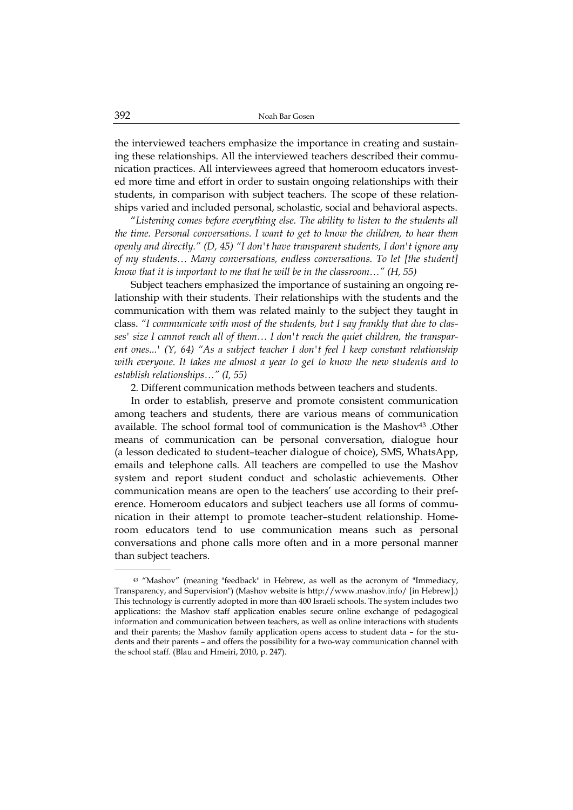the interviewed teachers emphasize the importance in creating and sustaining these relationships. All the interviewed teachers described their communication practices. All interviewees agreed that homeroom educators invested more time and effort in order to sustain ongoing relationships with their students, in comparison with subject teachers. The scope of these relationships varied and included personal, scholastic, social and behavioral aspects.

"*Listening comes before everything else. The ability to listen to the students all the time. Personal conversations. I want to get to know the children, to hear them openly and directly." (D, 45) "I don't have transparent students, I don't ignore any of my students… Many conversations, endless conversations. To let [the student] know that it is important to me that he will be in the classroom…" (H, 55)* 

Subject teachers emphasized the importance of sustaining an ongoing relationship with their students. Their relationships with the students and the communication with them was related mainly to the subject they taught in class. *"I communicate with most of the students, but I say frankly that due to classes' size I cannot reach all of them… I don't reach the quiet children, the transparent ones...' (Y, 64) "As a subject teacher I don't feel I keep constant relationship with everyone. It takes me almost a year to get to know the new students and to establish relationships…" (I, 55)* 

2. Different communication methods between teachers and students.

In order to establish, preserve and promote consistent communication among teachers and students, there are various means of communication available. The school formal tool of communication is the Mashov43 .Other means of communication can be personal conversation, dialogue hour (a lesson dedicated to student–teacher dialogue of choice), SMS, WhatsApp, emails and telephone calls. All teachers are compelled to use the Mashov system and report student conduct and scholastic achievements. Other communication means are open to the teachers' use according to their preference. Homeroom educators and subject teachers use all forms of communication in their attempt to promote teacher–student relationship. Homeroom educators tend to use communication means such as personal conversations and phone calls more often and in a more personal manner than subject teachers.

<sup>43</sup> "Mashov" (meaning "feedback" in Hebrew, as well as the acronym of "Immediacy, Transparency, and Supervision") (Mashov website is http://www.mashov.info/ [in Hebrew].) This technology is currently adopted in more than 400 Israeli schools. The system includes two applications: the Mashov staff application enables secure online exchange of pedagogical information and communication between teachers, as well as online interactions with students and their parents; the Mashov family application opens access to student data – for the students and their parents – and offers the possibility for a two-way communication channel with the school staff. (Blau and Hmeiri, 2010, p. 247).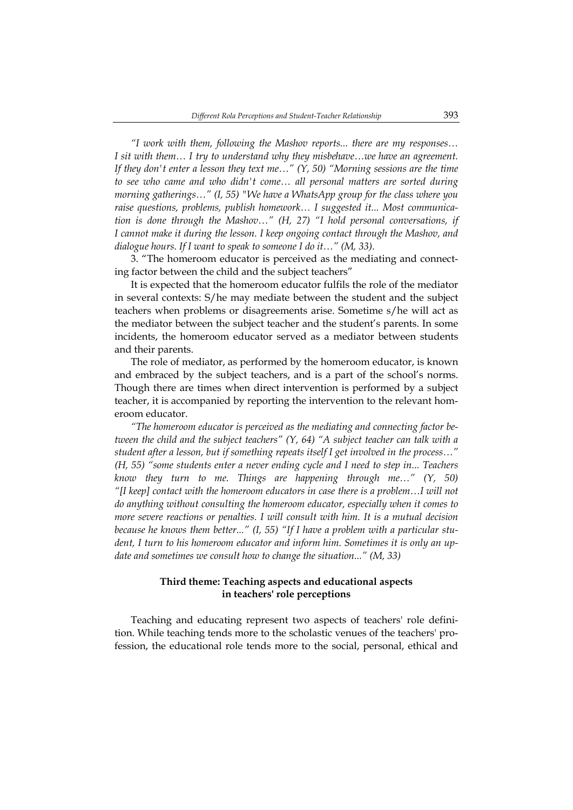*"I work with them, following the Mashov reports... there are my responses… I sit with them… I try to understand why they misbehave…we have an agreement. If they don't enter a lesson they text me…" (Y, 50) "Morning sessions are the time to see who came and who didn't come… all personal matters are sorted during morning gatherings…" (I, 55) "We have a WhatsApp group for the class where you raise questions, problems, publish homework… I suggested it... Most communication is done through the Mashov…" (H, 27) "I hold personal conversations, if I cannot make it during the lesson. I keep ongoing contact through the Mashov, and dialogue hours. If I want to speak to someone I do it…" (M, 33).* 

3. "The homeroom educator is perceived as the mediating and connecting factor between the child and the subject teachers"

It is expected that the homeroom educator fulfils the role of the mediator in several contexts: S/he may mediate between the student and the subject teachers when problems or disagreements arise. Sometime s/he will act as the mediator between the subject teacher and the student's parents. In some incidents, the homeroom educator served as a mediator between students and their parents.

The role of mediator, as performed by the homeroom educator, is known and embraced by the subject teachers, and is a part of the school's norms. Though there are times when direct intervention is performed by a subject teacher, it is accompanied by reporting the intervention to the relevant homeroom educator.

*"The homeroom educator is perceived as the mediating and connecting factor between the child and the subject teachers" (Y, 64) "A subject teacher can talk with a student after a lesson, but if something repeats itself I get involved in the process…" (H, 55) "some students enter a never ending cycle and I need to step in... Teachers know they turn to me. Things are happening through me…" (Y, 50) "[I keep] contact with the homeroom educators in case there is a problem…I will not do anything without consulting the homeroom educator, especially when it comes to more severe reactions or penalties. I will consult with him. It is a mutual decision because he knows them better..." (I, 55) "If I have a problem with a particular student, I turn to his homeroom educator and inform him. Sometimes it is only an update and sometimes we consult how to change the situation..." (M, 33)* 

## **Third theme: Teaching aspects and educational aspects in teachers' role perceptions**

Teaching and educating represent two aspects of teachers' role definition. While teaching tends more to the scholastic venues of the teachers' profession, the educational role tends more to the social, personal, ethical and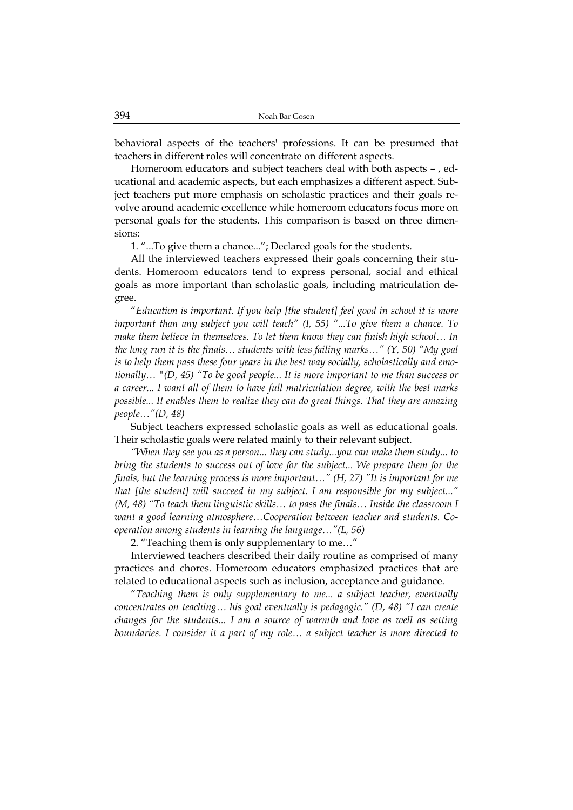behavioral aspects of the teachers' professions. It can be presumed that teachers in different roles will concentrate on different aspects.

Homeroom educators and subject teachers deal with both aspects – , educational and academic aspects, but each emphasizes a different aspect. Subject teachers put more emphasis on scholastic practices and their goals revolve around academic excellence while homeroom educators focus more on personal goals for the students. This comparison is based on three dimensions:

1. "...To give them a chance..."; Declared goals for the students.

All the interviewed teachers expressed their goals concerning their students. Homeroom educators tend to express personal, social and ethical goals as more important than scholastic goals, including matriculation degree.

"*Education is important. If you help [the student] feel good in school it is more important than any subject you will teach" (I, 55) "...To give them a chance. To make them believe in themselves. To let them know they can finish high school… In the long run it is the finals… students with less failing marks…" (Y, 50) "My goal is to help them pass these four years in the best way socially, scholastically and emotionally… "(D, 45) "To be good people... It is more important to me than success or a career... I want all of them to have full matriculation degree, with the best marks possible... It enables them to realize they can do great things. That they are amazing people…"(D, 48)* 

Subject teachers expressed scholastic goals as well as educational goals. Their scholastic goals were related mainly to their relevant subject.

*"When they see you as a person... they can study...you can make them study... to bring the students to success out of love for the subject... We prepare them for the finals, but the learning process is more important…" (H, 27) "It is important for me that [the student] will succeed in my subject. I am responsible for my subject..." (M, 48) "To teach them linguistic skills… to pass the finals… Inside the classroom I want a good learning atmosphere…Cooperation between teacher and students. Cooperation among students in learning the language…"(L, 56)* 

2. "Teaching them is only supplementary to me…"

Interviewed teachers described their daily routine as comprised of many practices and chores. Homeroom educators emphasized practices that are related to educational aspects such as inclusion, acceptance and guidance.

"*Teaching them is only supplementary to me... a subject teacher, eventually concentrates on teaching… his goal eventually is pedagogic." (D, 48) "I can create changes for the students... I am a source of warmth and love as well as setting boundaries. I consider it a part of my role… a subject teacher is more directed to*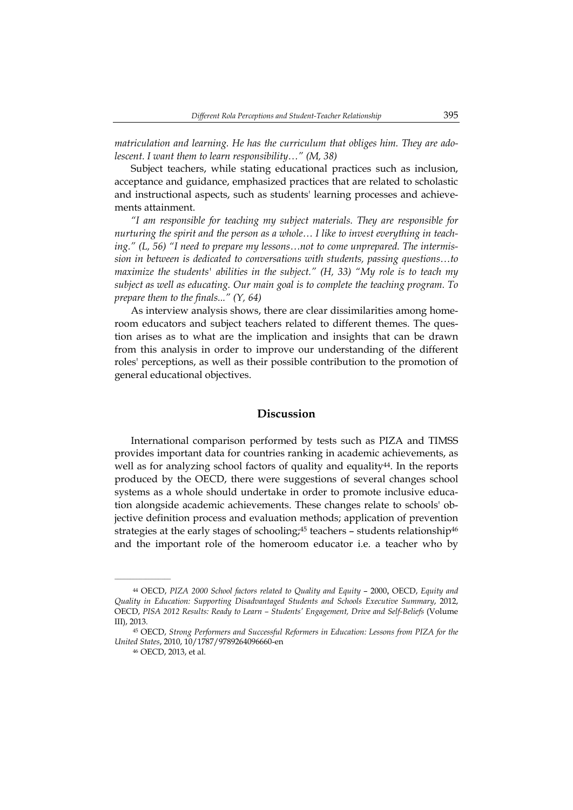*matriculation and learning. He has the curriculum that obliges him. They are adolescent. I want them to learn responsibility…" (M, 38)* 

Subject teachers, while stating educational practices such as inclusion, acceptance and guidance, emphasized practices that are related to scholastic and instructional aspects, such as students' learning processes and achievements attainment.

*"I am responsible for teaching my subject materials. They are responsible for nurturing the spirit and the person as a whole… I like to invest everything in teaching." (L, 56) "I need to prepare my lessons…not to come unprepared. The intermission in between is dedicated to conversations with students, passing questions…to maximize the students' abilities in the subject." (H, 33) "My role is to teach my subject as well as educating. Our main goal is to complete the teaching program. To prepare them to the finals..." (Y, 64)* 

As interview analysis shows, there are clear dissimilarities among homeroom educators and subject teachers related to different themes. The question arises as to what are the implication and insights that can be drawn from this analysis in order to improve our understanding of the different roles' perceptions, as well as their possible contribution to the promotion of general educational objectives.

# **Discussion**

International comparison performed by tests such as PIZA and TIMSS provides important data for countries ranking in academic achievements, as well as for analyzing school factors of quality and equality<sup>44</sup>. In the reports produced by the OECD, there were suggestions of several changes school systems as a whole should undertake in order to promote inclusive education alongside academic achievements. These changes relate to schools' objective definition process and evaluation methods; application of prevention strategies at the early stages of schooling; $45$  teachers – students relationship $46$ and the important role of the homeroom educator i.e. a teacher who by

<sup>44</sup> OECD, *PIZA 2000 School factors related to Quality and Equity* – 2000, OECD, *Equity and Quality in Education: Supporting Disadvantaged Students and Schools Executive Summary*, 2012, OECD, *PISA 2012 Results: Ready to Learn – Students' Engagement, Drive and Self-Beliefs* (Volume III), 2013.

<sup>45</sup> OECD, *Strong Performers and Successful Reformers in Education: Lessons from PIZA for the United States*, 2010, 10/1787/9789264096660-en

<sup>46</sup> OECD, 2013, et al.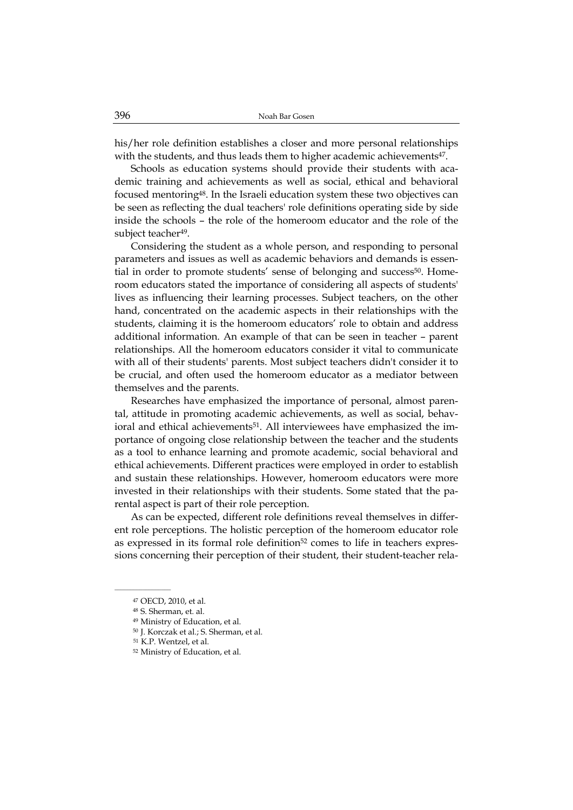his/her role definition establishes a closer and more personal relationships with the students, and thus leads them to higher academic achievements<sup>47</sup>.

Schools as education systems should provide their students with academic training and achievements as well as social, ethical and behavioral focused mentoring48. In the Israeli education system these two objectives can be seen as reflecting the dual teachers' role definitions operating side by side inside the schools – the role of the homeroom educator and the role of the subject teacher<sup>49</sup>.

Considering the student as a whole person, and responding to personal parameters and issues as well as academic behaviors and demands is essential in order to promote students' sense of belonging and success<sup>50</sup>. Homeroom educators stated the importance of considering all aspects of students' lives as influencing their learning processes. Subject teachers, on the other hand, concentrated on the academic aspects in their relationships with the students, claiming it is the homeroom educators' role to obtain and address additional information. An example of that can be seen in teacher – parent relationships. All the homeroom educators consider it vital to communicate with all of their students' parents. Most subject teachers didn't consider it to be crucial, and often used the homeroom educator as a mediator between themselves and the parents.

Researches have emphasized the importance of personal, almost parental, attitude in promoting academic achievements, as well as social, behavioral and ethical achievements<sup>51</sup>. All interviewees have emphasized the importance of ongoing close relationship between the teacher and the students as a tool to enhance learning and promote academic, social behavioral and ethical achievements. Different practices were employed in order to establish and sustain these relationships. However, homeroom educators were more invested in their relationships with their students. Some stated that the parental aspect is part of their role perception.

As can be expected, different role definitions reveal themselves in different role perceptions. The holistic perception of the homeroom educator role as expressed in its formal role definition<sup>52</sup> comes to life in teachers expressions concerning their perception of their student, their student-teacher rela-

<sup>47</sup> OECD, 2010, et al.

<sup>48</sup> S. Sherman, et. al.

<sup>49</sup> Ministry of Education, et al.

<sup>50</sup> J. Korczak et al.; S. Sherman, et al.

<sup>51</sup> K.P. Wentzel, et al.

<sup>52</sup> Ministry of Education, et al.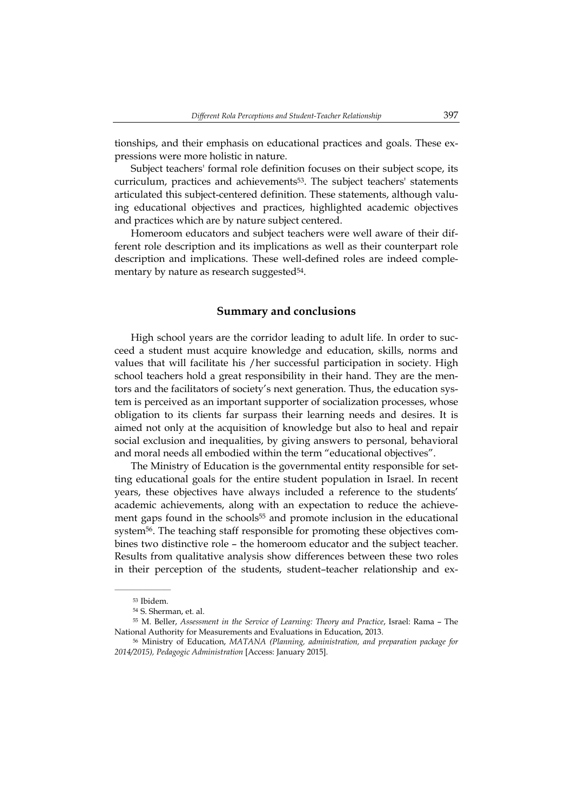tionships, and their emphasis on educational practices and goals. These expressions were more holistic in nature.

Subject teachers' formal role definition focuses on their subject scope, its curriculum, practices and achievements53. The subject teachers' statements articulated this subject-centered definition. These statements, although valuing educational objectives and practices, highlighted academic objectives and practices which are by nature subject centered.

Homeroom educators and subject teachers were well aware of their different role description and its implications as well as their counterpart role description and implications. These well-defined roles are indeed complementary by nature as research suggested<sup>54</sup>.

# **Summary and conclusions**

High school years are the corridor leading to adult life. In order to succeed a student must acquire knowledge and education, skills, norms and values that will facilitate his /her successful participation in society. High school teachers hold a great responsibility in their hand. They are the mentors and the facilitators of society's next generation. Thus, the education system is perceived as an important supporter of socialization processes, whose obligation to its clients far surpass their learning needs and desires. It is aimed not only at the acquisition of knowledge but also to heal and repair social exclusion and inequalities, by giving answers to personal, behavioral and moral needs all embodied within the term "educational objectives".

The Ministry of Education is the governmental entity responsible for setting educational goals for the entire student population in Israel. In recent years, these objectives have always included a reference to the students' academic achievements, along with an expectation to reduce the achievement gaps found in the schools<sup>55</sup> and promote inclusion in the educational system56. The teaching staff responsible for promoting these objectives combines two distinctive role – the homeroom educator and the subject teacher. Results from qualitative analysis show differences between these two roles in their perception of the students, student–teacher relationship and ex-

<sup>53</sup> Ibidem.

<sup>54</sup> S. Sherman, et. al.

<sup>55</sup> M. Beller, *Assessment in the Service of Learning: Theory and Practice*, Israel: Rama – The National Authority for Measurements and Evaluations in Education, 2013.

<sup>56</sup> Ministry of Education, *MATANA (Planning, administration, and preparation package for 2014/2015), Pedagogic Administration* [Access: January 2015].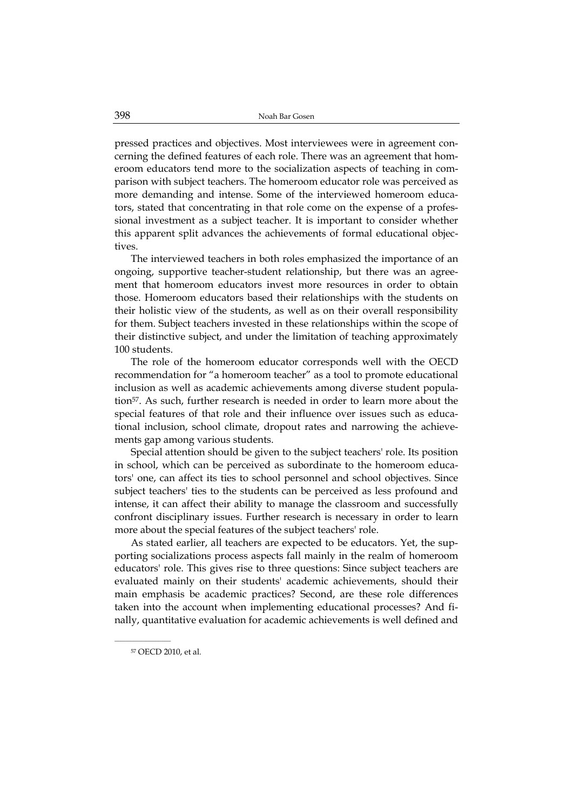pressed practices and objectives. Most interviewees were in agreement concerning the defined features of each role. There was an agreement that homeroom educators tend more to the socialization aspects of teaching in comparison with subject teachers. The homeroom educator role was perceived as more demanding and intense. Some of the interviewed homeroom educators, stated that concentrating in that role come on the expense of a professional investment as a subject teacher. It is important to consider whether this apparent split advances the achievements of formal educational objectives.

The interviewed teachers in both roles emphasized the importance of an ongoing, supportive teacher-student relationship, but there was an agreement that homeroom educators invest more resources in order to obtain those. Homeroom educators based their relationships with the students on their holistic view of the students, as well as on their overall responsibility for them. Subject teachers invested in these relationships within the scope of their distinctive subject, and under the limitation of teaching approximately 100 students.

The role of the homeroom educator corresponds well with the OECD recommendation for "a homeroom teacher" as a tool to promote educational inclusion as well as academic achievements among diverse student population57. As such, further research is needed in order to learn more about the special features of that role and their influence over issues such as educational inclusion, school climate, dropout rates and narrowing the achievements gap among various students.

Special attention should be given to the subject teachers' role. Its position in school, which can be perceived as subordinate to the homeroom educators' one, can affect its ties to school personnel and school objectives. Since subject teachers' ties to the students can be perceived as less profound and intense, it can affect their ability to manage the classroom and successfully confront disciplinary issues. Further research is necessary in order to learn more about the special features of the subject teachers' role.

As stated earlier, all teachers are expected to be educators. Yet, the supporting socializations process aspects fall mainly in the realm of homeroom educators' role. This gives rise to three questions: Since subject teachers are evaluated mainly on their students' academic achievements, should their main emphasis be academic practices? Second, are these role differences taken into the account when implementing educational processes? And finally, quantitative evaluation for academic achievements is well defined and

57 OECD 2010, et al.

 $\overline{\phantom{a}}$  , where  $\overline{\phantom{a}}$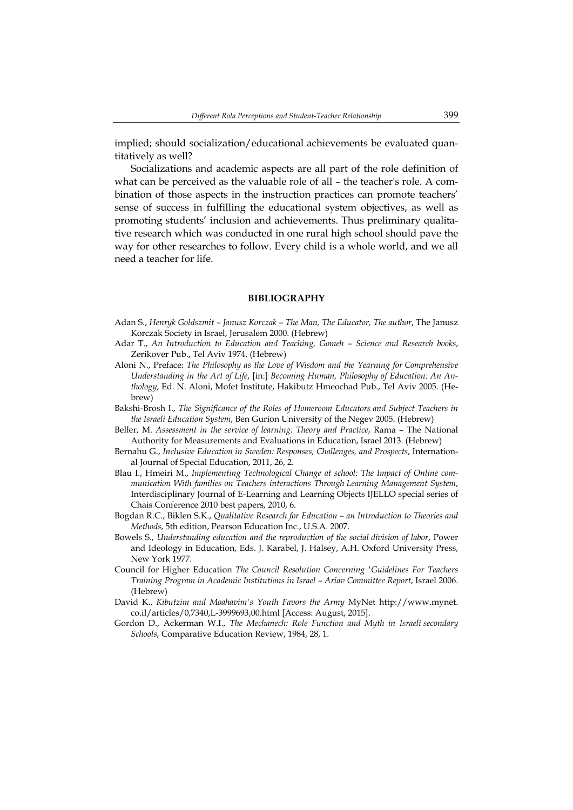implied; should socialization/educational achievements be evaluated quantitatively as well?

Socializations and academic aspects are all part of the role definition of what can be perceived as the valuable role of all – the teacher's role. A combination of those aspects in the instruction practices can promote teachers' sense of success in fulfilling the educational system objectives, as well as promoting students' inclusion and achievements. Thus preliminary qualitative research which was conducted in one rural high school should pave the way for other researches to follow. Every child is a whole world, and we all need a teacher for life.

#### **BIBLIOGRAPHY**

- Adan S., *Henryk Goldszmit Janusz Korczak The Man, The Educator, The author*, The Janusz Korczak Society in Israel, Jerusalem 2000. (Hebrew)
- Adar T., *An Introduction to Education and Teaching, Gomeh Science and Research books*, Zerikover Pub., Tel Aviv 1974. (Hebrew)
- Aloni N., Preface: *The Philosophy as the Love of Wisdom and the Yearning for Comprehensive Understanding in the Art of Life*, [in:] *Becoming Human, Philosophy of Education: An Anthology*, Ed. N. Aloni, Mofet Institute, Hakibutz Hmeochad Pub., Tel Aviv 2005. (Hebrew)
- Bakshi-Brosh I., *The Significance of the Roles of Homeroom Educators and Subject Teachers in the Israeli Education System*, Ben Gurion University of the Negev 2005. (Hebrew)
- Beller, M. *Assessment in the service of learning: Theory and Practice*, Rama The National Authority for Measurements and Evaluations in Education, Israel 2013. (Hebrew)
- Bernahu G., *Inclusive Education in Sweden: Responses, Challenges, and Prospects*, International Journal of Special Education, 2011, 26, 2.
- Blau I., Hmeiri M., *Implementing Technological Change at school: The Impact of Online communication With families on Teachers interactions Through Learning Management System*, Interdisciplinary Journal of E-Learning and Learning Objects IJELLO special series of Chais Conference 2010 best papers, 2010, 6.
- Bogdan R.C., Biklen S.K., *Qualitative Research for Education an Introduction to Theories and Methods*, 5th edition, Pearson Education Inc., U.S.A. 2007.
- Bowels S., *Understanding education and the reproduction of the social division of labor*, Power and Ideology in Education, Eds. J. Karabel, J. Halsey, A.H. Oxford University Press, New York 1977.
- Council for Higher Education *The Council Resolution Concerning 'Guidelines For Teachers Training Program in Academic Institutions in Israel – Ariav Committee Report*, Israel 2006. (Hebrew)
- David K., *Kibutzim and Moahavim's Youth Favors the Army* MyNet http://www.mynet. co.il/articles/0,7340,L-3999693,00.html [Access: August, 2015].
- Gordon D., Ackerman W.I., *The Mechanech: Role Function and Myth in Israeli secondary Schools*, Comparative Education Review, 1984, 28, 1.